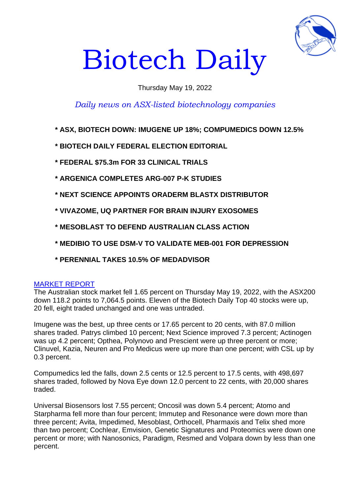

# Biotech Daily

## Thursday May 19, 2022

# *Daily news on ASX-listed biotechnology companies*

- **\* ASX, BIOTECH DOWN: IMUGENE UP 18%; COMPUMEDICS DOWN 12.5%**
- **\* BIOTECH DAILY FEDERAL ELECTION EDITORIAL**
- **\* FEDERAL \$75.3m FOR 33 CLINICAL TRIALS**
- **\* ARGENICA COMPLETES ARG-007 P-K STUDIES**
- **\* NEXT SCIENCE APPOINTS ORADERM BLASTX DISTRIBUTOR**
- **\* VIVAZOME, UQ PARTNER FOR BRAIN INJURY EXOSOMES**
- **\* MESOBLAST TO DEFEND AUSTRALIAN CLASS ACTION**
- **\* MEDIBIO TO USE DSM-V TO VALIDATE MEB-001 FOR DEPRESSION**
- **\* PERENNIAL TAKES 10.5% OF MEDADVISOR**

#### MARKET REPORT

The Australian stock market fell 1.65 percent on Thursday May 19, 2022, with the ASX200 down 118.2 points to 7,064.5 points. Eleven of the Biotech Daily Top 40 stocks were up, 20 fell, eight traded unchanged and one was untraded.

Imugene was the best, up three cents or 17.65 percent to 20 cents, with 87.0 million shares traded. Patrys climbed 10 percent; Next Science improved 7.3 percent; Actinogen was up 4.2 percent; Opthea, Polynovo and Prescient were up three percent or more; Clinuvel, Kazia, Neuren and Pro Medicus were up more than one percent; with CSL up by 0.3 percent.

Compumedics led the falls, down 2.5 cents or 12.5 percent to 17.5 cents, with 498,697 shares traded, followed by Nova Eye down 12.0 percent to 22 cents, with 20,000 shares traded.

Universal Biosensors lost 7.55 percent; Oncosil was down 5.4 percent; Atomo and Starpharma fell more than four percent; Immutep and Resonance were down more than three percent; Avita, Impedimed, Mesoblast, Orthocell, Pharmaxis and Telix shed more than two percent; Cochlear, Emvision, Genetic Signatures and Proteomics were down one percent or more; with Nanosonics, Paradigm, Resmed and Volpara down by less than one percent.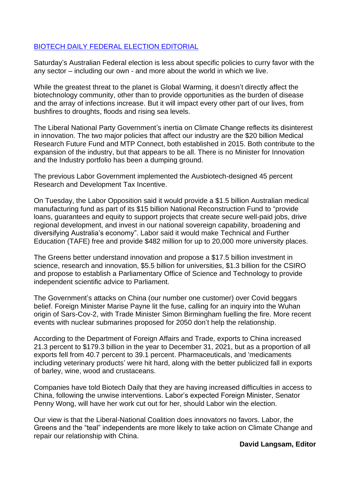## BIOTECH DAILY FEDERAL ELECTION EDITORIAL

Saturday's Australian Federal election is less about specific policies to curry favor with the any sector – including our own - and more about the world in which we live.

While the greatest threat to the planet is Global Warming, it doesn't directly affect the biotechnology community, other than to provide opportunities as the burden of disease and the array of infections increase. But it will impact every other part of our lives, from bushfires to droughts, floods and rising sea levels.

The Liberal National Party Government's inertia on Climate Change reflects its disinterest in innovation. The two major policies that affect our industry are the \$20 billion Medical Research Future Fund and MTP Connect, both established in 2015. Both contribute to the expansion of the industry, but that appears to be all. There is no Minister for Innovation and the Industry portfolio has been a dumping ground.

The previous Labor Government implemented the Ausbiotech-designed 45 percent Research and Development Tax Incentive.

On Tuesday, the Labor Opposition said it would provide a \$1.5 billion Australian medical manufacturing fund as part of its \$15 billion National Reconstruction Fund to "provide loans, guarantees and equity to support projects that create secure well-paid jobs, drive regional development, and invest in our national sovereign capability, broadening and diversifying Australia's economy". Labor said it would make Technical and Further Education (TAFE) free and provide \$482 million for up to 20,000 more university places.

The Greens better understand innovation and propose a \$17.5 billion investment in science, research and innovation, \$5.5 billion for universities, \$1.3 billion for the CSIRO and propose to establish a Parliamentary Office of Science and Technology to provide independent scientific advice to Parliament.

The Government's attacks on China (our number one customer) over Covid beggars belief. Foreign Minister Marise Payne lit the fuse, calling for an inquiry into the Wuhan origin of Sars-Cov-2, with Trade Minister Simon Birmingham fuelling the fire. More recent events with nuclear submarines proposed for 2050 don't help the relationship.

According to the Department of Foreign Affairs and Trade, exports to China increased 21.3 percent to \$179.3 billion in the year to December 31, 2021, but as a proportion of all exports fell from 40.7 percent to 39.1 percent. Pharmaceuticals, and 'medicaments including veterinary products' were hit hard, along with the better publicized fall in exports of barley, wine, wood and crustaceans.

Companies have told Biotech Daily that they are having increased difficulties in access to China, following the unwise interventions. Labor's expected Foreign Minister, Senator Penny Wong, will have her work cut out for her, should Labor win the election.

Our view is that the Liberal-National Coalition does innovators no favors. Labor, the Greens and the "teal" independents are more likely to take action on Climate Change and repair our relationship with China.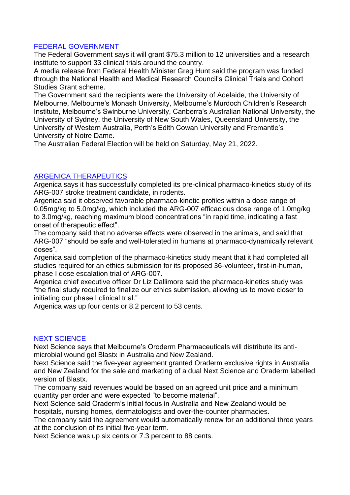### FEDERAL GOVERNMENT

The Federal Government says it will grant \$75.3 million to 12 universities and a research institute to support 33 clinical trials around the country.

A media release from Federal Health Minister Greg Hunt said the program was funded through the National Health and Medical Research Council's Clinical Trials and Cohort Studies Grant scheme.

The Government said the recipients were the University of Adelaide, the University of Melbourne, Melbourne's Monash University, Melbourne's Murdoch Children's Research Institute, Melbourne's Swinburne University, Canberra's Australian National University, the University of Sydney, the University of New South Wales, Queensland University, the University of Western Australia, Perth's Edith Cowan University and Fremantle's University of Notre Dame.

The Australian Federal Election will be held on Saturday, May 21, 2022.

### ARGENICA THERAPEUTICS

Argenica says it has successfully completed its pre-clinical pharmaco-kinetics study of its ARG-007 stroke treatment candidate, in rodents.

Argenica said it observed favorable pharmaco-kinetic profiles within a dose range of 0.05mg/kg to 5.0mg/kg, which included the ARG-007 efficacious dose range of 1.0mg/kg to 3.0mg/kg, reaching maximum blood concentrations "in rapid time, indicating a fast onset of therapeutic effect".

The company said that no adverse effects were observed in the animals, and said that ARG-007 "should be safe and well-tolerated in humans at pharmaco-dynamically relevant doses".

Argenica said completion of the pharmaco-kinetics study meant that it had completed all studies required for an ethics submission for its proposed 36-volunteer, first-in-human, phase I dose escalation trial of ARG-007.

Argenica chief executive officer Dr Liz Dallimore said the pharmaco-kinetics study was "the final study required to finalize our ethics submission, allowing us to move closer to initiating our phase I clinical trial."

Argenica was up four cents or 8.2 percent to 53 cents.

### NEXT SCIENCE

Next Science says that Melbourne's Oroderm Pharmaceuticals will distribute its antimicrobial wound gel Blastx in Australia and New Zealand.

Next Science said the five-year agreement granted Oraderm exclusive rights in Australia and New Zealand for the sale and marketing of a dual Next Science and Oraderm labelled version of Blastx.

The company said revenues would be based on an agreed unit price and a minimum quantity per order and were expected "to become material".

Next Science said Oraderm's initial focus in Australia and New Zealand would be hospitals, nursing homes, dermatologists and over-the-counter pharmacies.

The company said the agreement would automatically renew for an additional three years at the conclusion of its initial five-year term.

Next Science was up six cents or 7.3 percent to 88 cents.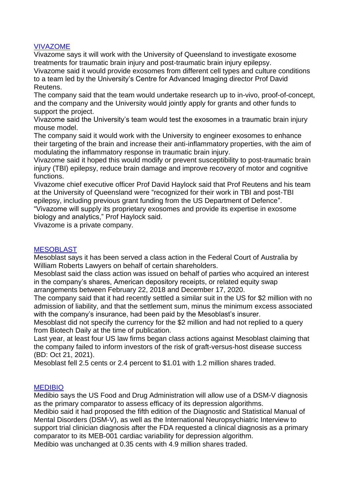### VIVAZOME

Vivazome says it will work with the University of Queensland to investigate exosome treatments for traumatic brain injury and post-traumatic brain injury epilepsy.

Vivazome said it would provide exosomes from different cell types and culture conditions to a team led by the University's Centre for Advanced Imaging director Prof David Reutens.

The company said that the team would undertake research up to in-vivo, proof-of-concept, and the company and the University would jointly apply for grants and other funds to support the project.

Vivazome said the University's team would test the exosomes in a traumatic brain injury mouse model.

The company said it would work with the University to engineer exosomes to enhance their targeting of the brain and increase their anti-inflammatory properties, with the aim of modulating the inflammatory response in traumatic brain injury.

Vivazome said it hoped this would modify or prevent susceptibility to post-traumatic brain injury (TBI) epilepsy, reduce brain damage and improve recovery of motor and cognitive functions.

Vivazome chief executive officer Prof David Haylock said that Prof Reutens and his team at the University of Queensland were "recognized for their work in TBI and post-TBI epilepsy, including previous grant funding from the US Department of Defence".

"Vivazome will supply its proprietary exosomes and provide its expertise in exosome biology and analytics," Prof Haylock said.

Vivazome is a private company.

# **MESOBLAST**

Mesoblast says it has been served a class action in the Federal Court of Australia by William Roberts Lawyers on behalf of certain shareholders.

Mesoblast said the class action was issued on behalf of parties who acquired an interest in the company's shares, American depository receipts, or related equity swap arrangements between February 22, 2018 and December 17, 2020.

The company said that it had recently settled a similar suit in the US for \$2 million with no admission of liability, and that the settlement sum, minus the minimum excess associated with the company's insurance, had been paid by the Mesoblast's insurer.

Mesoblast did not specify the currency for the \$2 million and had not replied to a query from Biotech Daily at the time of publication.

Last year, at least four US law firms began class actions against Mesoblast claiming that the company failed to inform investors of the risk of graft-versus-host disease success (BD: Oct 21, 2021).

Mesoblast fell 2.5 cents or 2.4 percent to \$1.01 with 1.2 million shares traded.

### MEDIBIO

Medibio says the US Food and Drug Administration will allow use of a DSM-V diagnosis as the primary comparator to assess efficacy of its depression algorithms.

Medibio said it had proposed the fifth edition of the Diagnostic and Statistical Manual of Mental Disorders (DSM-V), as well as the International Neuropsychiatric Interview to support trial clinician diagnosis after the FDA requested a clinical diagnosis as a primary comparator to its MEB-001 cardiac variability for depression algorithm.

Medibio was unchanged at 0.35 cents with 4.9 million shares traded.